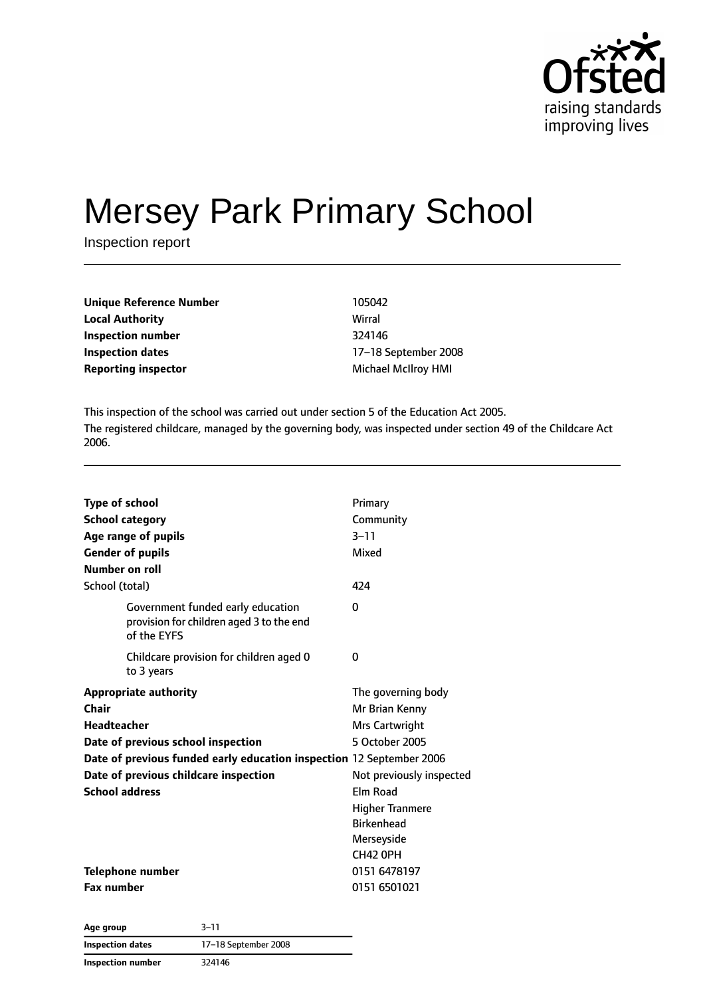

# Mersey Park Primary School

Inspection report

| <b>Unique Reference Number</b> | 105042                     |
|--------------------------------|----------------------------|
| <b>Local Authority</b>         | Wirral                     |
| Inspection number              | 324146                     |
| <b>Inspection dates</b>        | 17-18 September 200        |
| <b>Reporting inspector</b>     | <b>Michael McIlroy HMI</b> |

**Inspection number** 324146 **Inspection dates** 17–18 September 2008

This inspection of the school was carried out under section 5 of the Education Act 2005. The registered childcare, managed by the governing body, was inspected under section 49 of the Childcare Act 2006.

| <b>Type of school</b>                                                                        | Primary                  |
|----------------------------------------------------------------------------------------------|--------------------------|
| <b>School category</b>                                                                       | Community                |
| Age range of pupils                                                                          | $3 - 11$                 |
| <b>Gender of pupils</b>                                                                      | Mixed                    |
| Number on roll                                                                               |                          |
| School (total)                                                                               | 424                      |
| Government funded early education<br>provision for children aged 3 to the end<br>of the EYFS | $\Omega$                 |
| Childcare provision for children aged 0<br>to 3 years                                        | 0                        |
| <b>Appropriate authority</b>                                                                 | The governing body       |
| Chair                                                                                        | Mr Brian Kenny           |
| <b>Headteacher</b>                                                                           | Mrs Cartwright           |
| Date of previous school inspection                                                           | 5 October 2005           |
| Date of previous funded early education inspection 12 September 2006                         |                          |
| Date of previous childcare inspection                                                        | Not previously inspected |
| <b>School address</b>                                                                        | Elm Road                 |
|                                                                                              | <b>Higher Tranmere</b>   |
|                                                                                              | <b>Birkenhead</b>        |
|                                                                                              | Merseyside               |
|                                                                                              | <b>CH42 OPH</b>          |
| Telephone number                                                                             | 0151 6478197             |
| <b>Fax number</b>                                                                            | 0151 6501021             |

| Age group         | $3 - 11$             |
|-------------------|----------------------|
| Inspection dates  | 17-18 September 2008 |
| Inspection number | 324146               |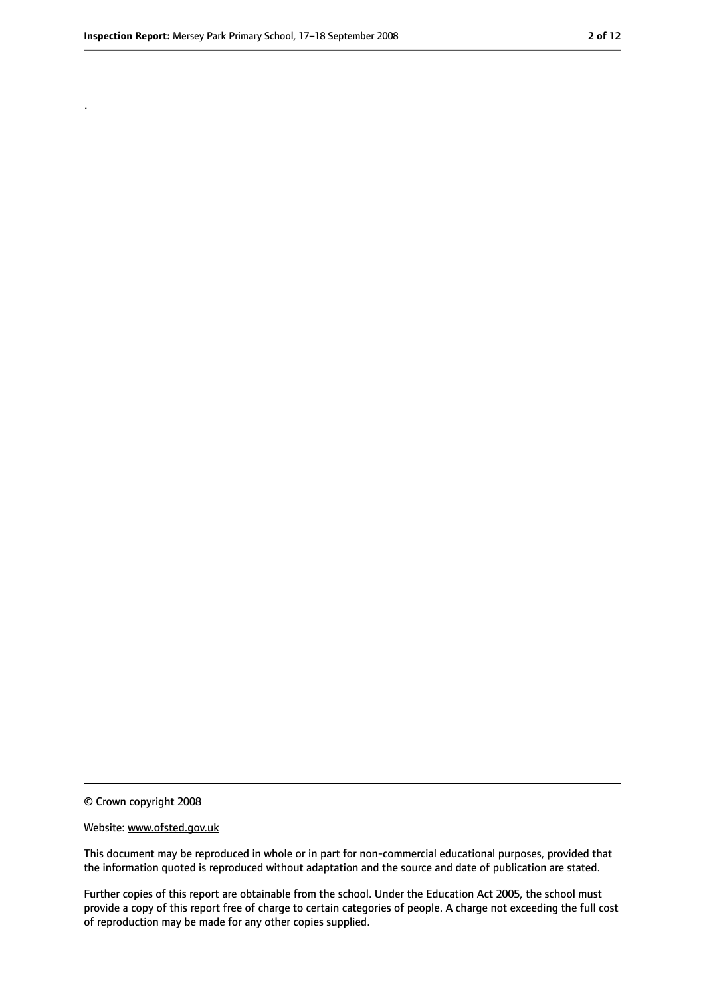.

<sup>©</sup> Crown copyright 2008

Website: www.ofsted.gov.uk

This document may be reproduced in whole or in part for non-commercial educational purposes, provided that the information quoted is reproduced without adaptation and the source and date of publication are stated.

Further copies of this report are obtainable from the school. Under the Education Act 2005, the school must provide a copy of this report free of charge to certain categories of people. A charge not exceeding the full cost of reproduction may be made for any other copies supplied.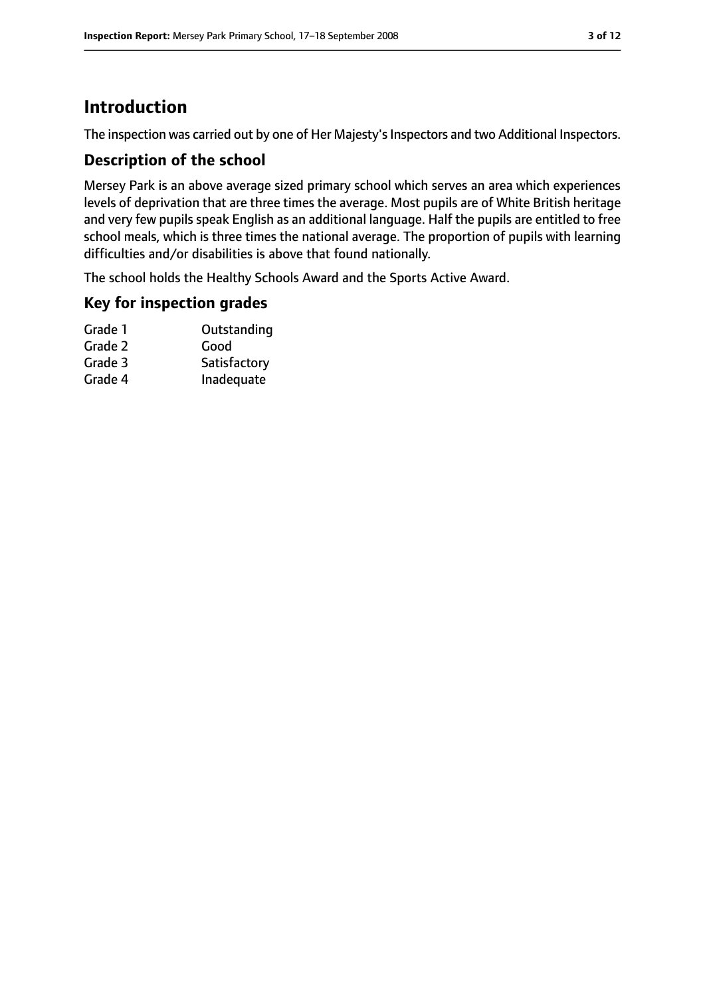# **Introduction**

The inspection was carried out by one of Her Majesty's Inspectors and two Additional Inspectors.

### **Description of the school**

Mersey Park is an above average sized primary school which serves an area which experiences levels of deprivation that are three times the average. Most pupils are of White British heritage and very few pupils speak English as an additional language. Half the pupils are entitled to free school meals, which is three times the national average. The proportion of pupils with learning difficulties and/or disabilities is above that found nationally.

The school holds the Healthy Schools Award and the Sports Active Award.

#### **Key for inspection grades**

| Grade 1 | Outstanding  |
|---------|--------------|
| Grade 2 | Good         |
| Grade 3 | Satisfactory |
| Grade 4 | Inadequate   |
|         |              |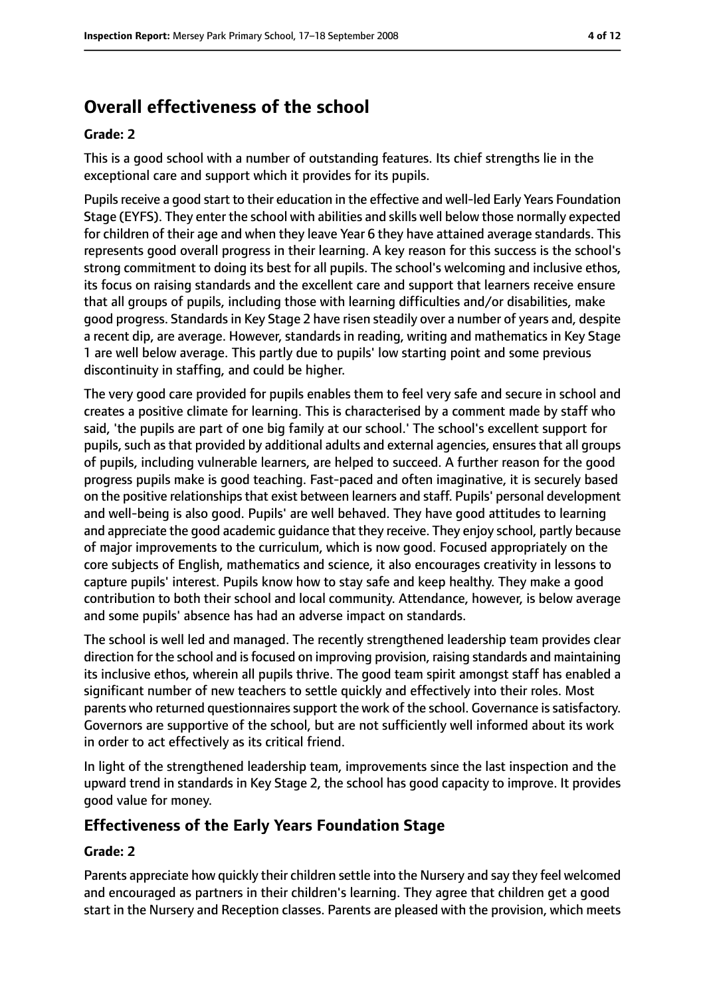# **Overall effectiveness of the school**

#### **Grade: 2**

This is a good school with a number of outstanding features. Its chief strengths lie in the exceptional care and support which it provides for its pupils.

Pupils receive a good start to their education in the effective and well-led Early Years Foundation Stage (EYFS). They enter the school with abilities and skills well below those normally expected for children of their age and when they leave Year 6 they have attained average standards. This represents good overall progress in their learning. A key reason for this success is the school's strong commitment to doing its best for all pupils. The school's welcoming and inclusive ethos, its focus on raising standards and the excellent care and support that learners receive ensure that all groups of pupils, including those with learning difficulties and/or disabilities, make good progress. Standardsin Key Stage 2 have risen steadily over a number of years and, despite a recent dip, are average. However, standards in reading, writing and mathematics in Key Stage 1 are well below average. This partly due to pupils' low starting point and some previous discontinuity in staffing, and could be higher.

The very good care provided for pupils enables them to feel very safe and secure in school and creates a positive climate for learning. This is characterised by a comment made by staff who said, 'the pupils are part of one big family at our school.' The school's excellent support for pupils, such as that provided by additional adults and external agencies, ensures that all groups of pupils, including vulnerable learners, are helped to succeed. A further reason for the good progress pupils make is good teaching. Fast-paced and often imaginative, it is securely based on the positive relationshipsthat exist between learners and staff. Pupils' personal development and well-being is also good. Pupils' are well behaved. They have good attitudes to learning and appreciate the good academic guidance that they receive. They enjoy school, partly because of major improvements to the curriculum, which is now good. Focused appropriately on the core subjects of English, mathematics and science, it also encourages creativity in lessons to capture pupils' interest. Pupils know how to stay safe and keep healthy. They make a good contribution to both their school and local community. Attendance, however, is below average and some pupils' absence has had an adverse impact on standards.

The school is well led and managed. The recently strengthened leadership team provides clear direction for the school and is focused on improving provision, raising standards and maintaining its inclusive ethos, wherein all pupils thrive. The good team spirit amongst staff has enabled a significant number of new teachers to settle quickly and effectively into their roles. Most parents who returned questionnaires support the work of the school. Governance is satisfactory. Governors are supportive of the school, but are not sufficiently well informed about its work in order to act effectively as its critical friend.

In light of the strengthened leadership team, improvements since the last inspection and the upward trend in standards in Key Stage 2, the school has good capacity to improve. It provides good value for money.

#### **Effectiveness of the Early Years Foundation Stage**

#### **Grade: 2**

Parents appreciate how quickly their children settle into the Nursery and say they feel welcomed and encouraged as partners in their children's learning. They agree that children get a good start in the Nursery and Reception classes. Parents are pleased with the provision, which meets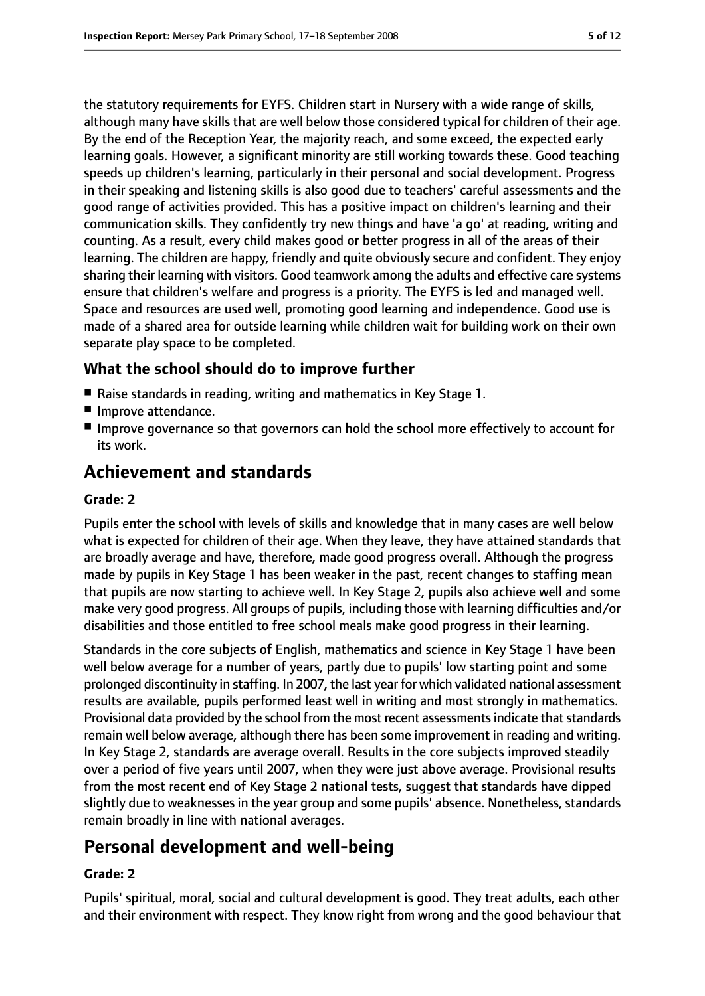the statutory requirements for EYFS. Children start in Nursery with a wide range of skills, although many have skills that are well below those considered typical for children of their age. By the end of the Reception Year, the majority reach, and some exceed, the expected early learning goals. However, a significant minority are still working towards these. Good teaching speeds up children's learning, particularly in their personal and social development. Progress in their speaking and listening skills is also good due to teachers' careful assessments and the good range of activities provided. This has a positive impact on children's learning and their communication skills. They confidently try new things and have 'a go' at reading, writing and counting. As a result, every child makes good or better progress in all of the areas of their learning. The children are happy, friendly and quite obviously secure and confident. They enjoy sharing their learning with visitors. Good teamwork among the adults and effective care systems ensure that children's welfare and progress is a priority. The EYFS is led and managed well. Space and resources are used well, promoting good learning and independence. Good use is made of a shared area for outside learning while children wait for building work on their own separate play space to be completed.

#### **What the school should do to improve further**

- Raise standards in reading, writing and mathematics in Key Stage 1.
- Improve attendance.
- Improve governance so that governors can hold the school more effectively to account for its work.

## **Achievement and standards**

#### **Grade: 2**

Pupils enter the school with levels of skills and knowledge that in many cases are well below what is expected for children of their age. When they leave, they have attained standards that are broadly average and have, therefore, made good progress overall. Although the progress made by pupils in Key Stage 1 has been weaker in the past, recent changes to staffing mean that pupils are now starting to achieve well. In Key Stage 2, pupils also achieve well and some make very good progress. All groups of pupils, including those with learning difficulties and/or disabilities and those entitled to free school meals make good progress in their learning.

Standards in the core subjects of English, mathematics and science in Key Stage 1 have been well below average for a number of years, partly due to pupils' low starting point and some prolonged discontinuity in staffing. In 2007, the last year for which validated national assessment results are available, pupils performed least well in writing and most strongly in mathematics. Provisional data provided by the school from the most recent assessments indicate that standards remain well below average, although there has been some improvement in reading and writing. In Key Stage 2, standards are average overall. Results in the core subjects improved steadily over a period of five years until 2007, when they were just above average. Provisional results from the most recent end of Key Stage 2 national tests, suggest that standards have dipped slightly due to weaknesses in the year group and some pupils' absence. Nonetheless, standards remain broadly in line with national averages.

## **Personal development and well-being**

#### **Grade: 2**

Pupils' spiritual, moral, social and cultural development is good. They treat adults, each other and their environment with respect. They know right from wrong and the good behaviour that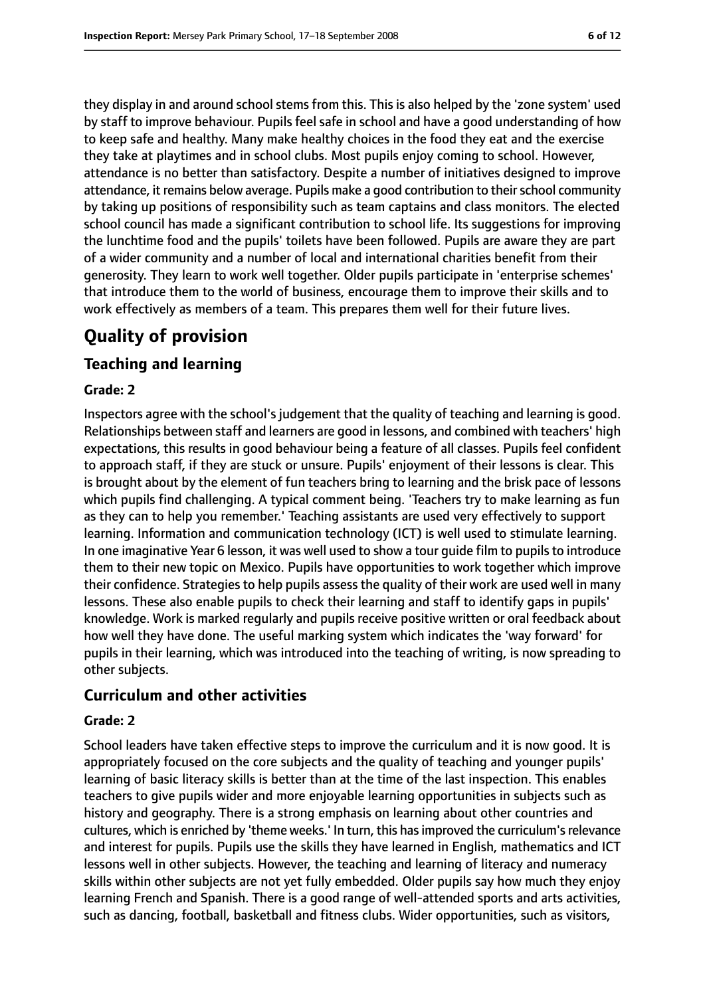they display in and around school stems from this. This is also helped by the 'zone system' used by staff to improve behaviour. Pupils feel safe in school and have a good understanding of how to keep safe and healthy. Many make healthy choices in the food they eat and the exercise they take at playtimes and in school clubs. Most pupils enjoy coming to school. However, attendance is no better than satisfactory. Despite a number of initiatives designed to improve attendance, it remains below average. Pupils make a good contribution to their school community by taking up positions of responsibility such as team captains and class monitors. The elected school council has made a significant contribution to school life. Its suggestions for improving the lunchtime food and the pupils' toilets have been followed. Pupils are aware they are part of a wider community and a number of local and international charities benefit from their generosity. They learn to work well together. Older pupils participate in 'enterprise schemes' that introduce them to the world of business, encourage them to improve their skills and to work effectively as members of a team. This prepares them well for their future lives.

# **Quality of provision**

#### **Teaching and learning**

#### **Grade: 2**

Inspectors agree with the school's judgement that the quality of teaching and learning is good. Relationships between staff and learners are good in lessons, and combined with teachers' high expectations, this results in good behaviour being a feature of all classes. Pupils feel confident to approach staff, if they are stuck or unsure. Pupils' enjoyment of their lessons is clear. This is brought about by the element of fun teachers bring to learning and the brisk pace of lessons which pupils find challenging. A typical comment being. 'Teachers try to make learning as fun as they can to help you remember.' Teaching assistants are used very effectively to support learning. Information and communication technology (ICT) is well used to stimulate learning. In one imaginative Year 6 lesson, it was well used to show a tour guide film to pupils to introduce them to their new topic on Mexico. Pupils have opportunities to work together which improve their confidence. Strategies to help pupils assess the quality of their work are used well in many lessons. These also enable pupils to check their learning and staff to identify gaps in pupils' knowledge. Work is marked regularly and pupils receive positive written or oral feedback about how well they have done. The useful marking system which indicates the 'way forward' for pupils in their learning, which was introduced into the teaching of writing, is now spreading to other subjects.

#### **Curriculum and other activities**

#### **Grade: 2**

School leaders have taken effective steps to improve the curriculum and it is now good. It is appropriately focused on the core subjects and the quality of teaching and younger pupils' learning of basic literacy skills is better than at the time of the last inspection. This enables teachers to give pupils wider and more enjoyable learning opportunities in subjects such as history and geography. There is a strong emphasis on learning about other countries and cultures, which is enriched by 'theme weeks.' In turn, this hasimproved the curriculum'srelevance and interest for pupils. Pupils use the skills they have learned in English, mathematics and ICT lessons well in other subjects. However, the teaching and learning of literacy and numeracy skills within other subjects are not yet fully embedded. Older pupils say how much they enjoy learning French and Spanish. There is a good range of well-attended sports and arts activities, such as dancing, football, basketball and fitness clubs. Wider opportunities, such as visitors,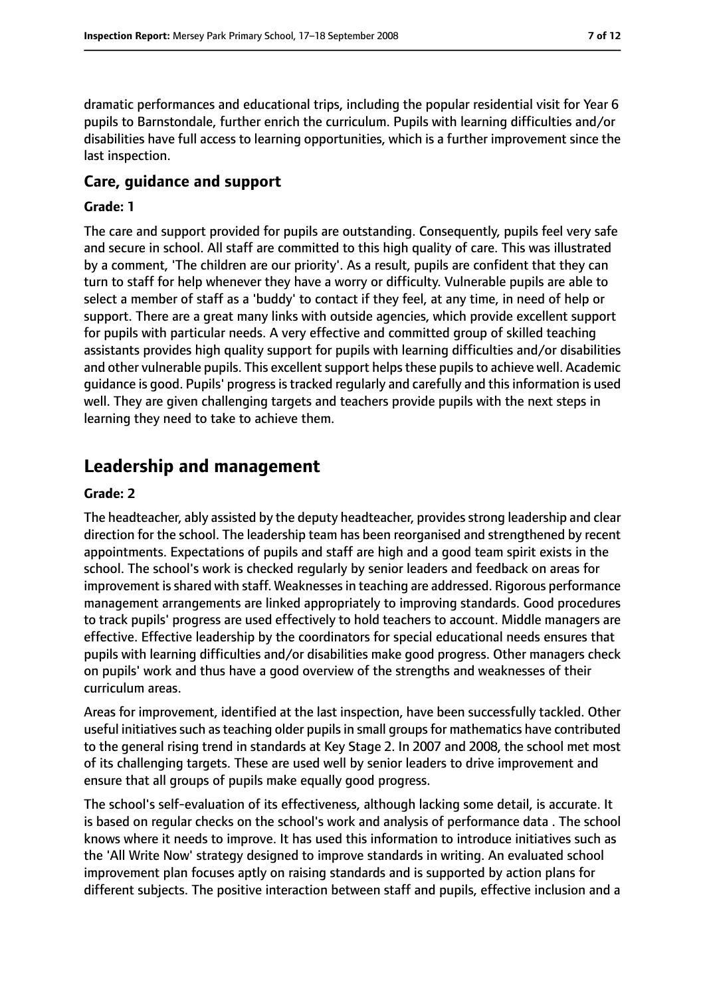dramatic performances and educational trips, including the popular residential visit for Year 6 pupils to Barnstondale, further enrich the curriculum. Pupils with learning difficulties and/or disabilities have full access to learning opportunities, which is a further improvement since the last inspection.

#### **Care, guidance and support**

#### **Grade: 1**

The care and support provided for pupils are outstanding. Consequently, pupils feel very safe and secure in school. All staff are committed to this high quality of care. This was illustrated by a comment, 'The children are our priority'. As a result, pupils are confident that they can turn to staff for help whenever they have a worry or difficulty. Vulnerable pupils are able to select a member of staff as a 'buddy' to contact if they feel, at any time, in need of help or support. There are a great many links with outside agencies, which provide excellent support for pupils with particular needs. A very effective and committed group of skilled teaching assistants provides high quality support for pupils with learning difficulties and/or disabilities and other vulnerable pupils. This excellent support helps these pupils to achieve well. Academic guidance is good. Pupils' progressistracked regularly and carefully and thisinformation is used well. They are given challenging targets and teachers provide pupils with the next steps in learning they need to take to achieve them.

## **Leadership and management**

#### **Grade: 2**

The headteacher, ably assisted by the deputy headteacher, provides strong leadership and clear direction for the school. The leadership team has been reorganised and strengthened by recent appointments. Expectations of pupils and staff are high and a good team spirit exists in the school. The school's work is checked regularly by senior leaders and feedback on areas for improvement is shared with staff. Weaknesses in teaching are addressed. Rigorous performance management arrangements are linked appropriately to improving standards. Good procedures to track pupils' progress are used effectively to hold teachers to account. Middle managers are effective. Effective leadership by the coordinators for special educational needs ensures that pupils with learning difficulties and/or disabilities make good progress. Other managers check on pupils' work and thus have a good overview of the strengths and weaknesses of their curriculum areas.

Areas for improvement, identified at the last inspection, have been successfully tackled. Other useful initiatives such as teaching older pupils in small groups for mathematics have contributed to the general rising trend in standards at Key Stage 2. In 2007 and 2008, the school met most of its challenging targets. These are used well by senior leaders to drive improvement and ensure that all groups of pupils make equally good progress.

The school's self-evaluation of its effectiveness, although lacking some detail, is accurate. It is based on regular checks on the school's work and analysis of performance data . The school knows where it needs to improve. It has used this information to introduce initiatives such as the 'All Write Now' strategy designed to improve standards in writing. An evaluated school improvement plan focuses aptly on raising standards and is supported by action plans for different subjects. The positive interaction between staff and pupils, effective inclusion and a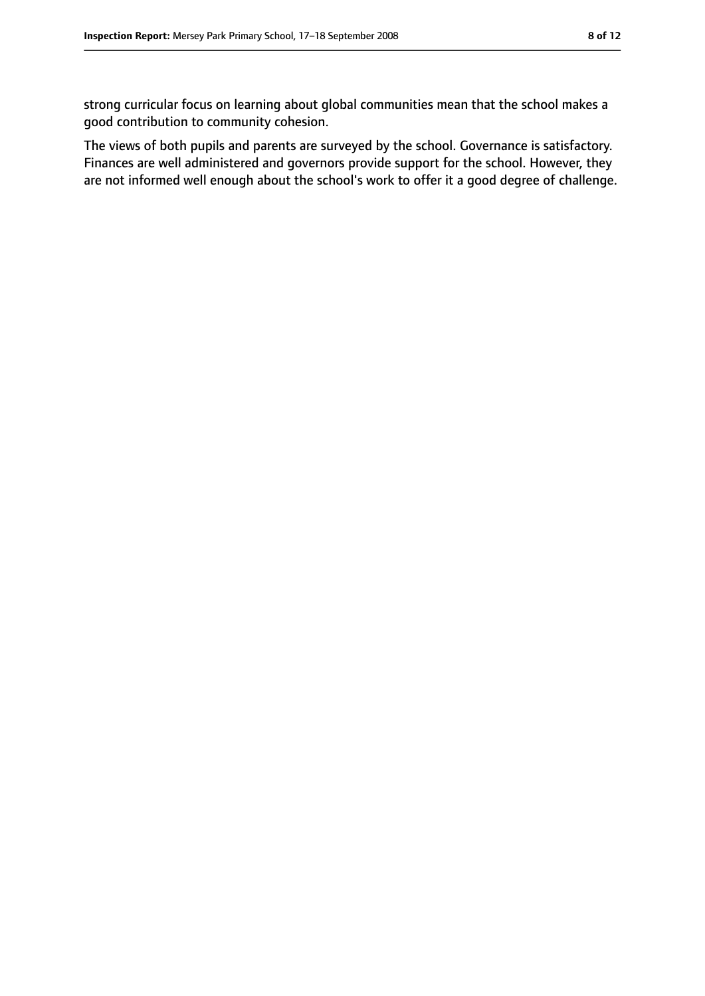strong curricular focus on learning about global communities mean that the school makes a good contribution to community cohesion.

The views of both pupils and parents are surveyed by the school. Governance is satisfactory. Finances are well administered and governors provide support for the school. However, they are not informed well enough about the school's work to offer it a good degree of challenge.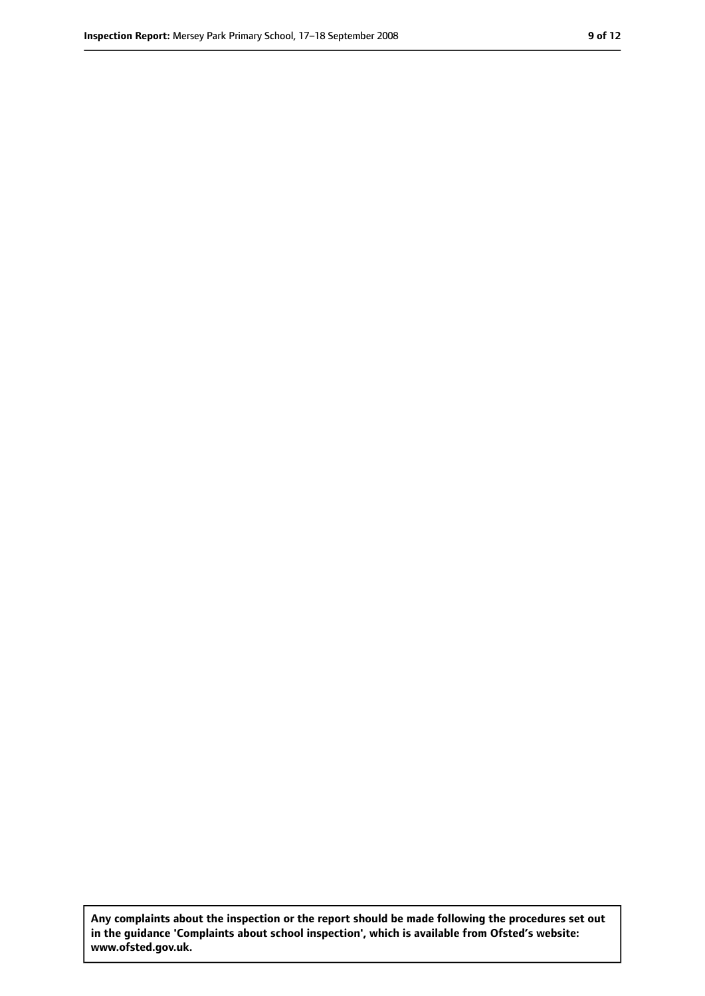**Any complaints about the inspection or the report should be made following the procedures set out in the guidance 'Complaints about school inspection', which is available from Ofsted's website: www.ofsted.gov.uk.**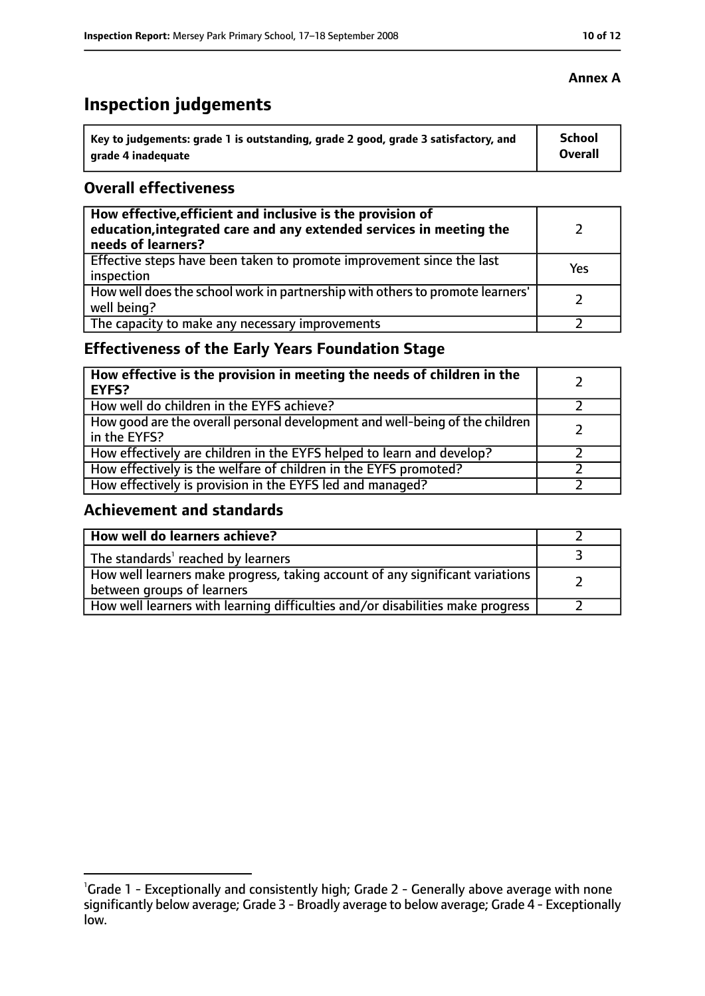# **Inspection judgements**

| Key to judgements: grade 1 is outstanding, grade 2 good, grade 3 satisfactory, and | <b>School</b>  |
|------------------------------------------------------------------------------------|----------------|
| arade 4 inadequate                                                                 | <b>Overall</b> |

#### **Overall effectiveness**

| How effective, efficient and inclusive is the provision of<br>education, integrated care and any extended services in meeting the<br>needs of learners? |     |
|---------------------------------------------------------------------------------------------------------------------------------------------------------|-----|
| Effective steps have been taken to promote improvement since the last<br>inspection                                                                     | Yes |
| How well does the school work in partnership with others to promote learners'<br>well being?                                                            |     |
| The capacity to make any necessary improvements                                                                                                         |     |

## **Effectiveness of the Early Years Foundation Stage**

| How effective is the provision in meeting the needs of children in the<br><b>EYFS?</b>       |  |
|----------------------------------------------------------------------------------------------|--|
| How well do children in the EYFS achieve?                                                    |  |
| How good are the overall personal development and well-being of the children<br>in the EYFS? |  |
| How effectively are children in the EYFS helped to learn and develop?                        |  |
| How effectively is the welfare of children in the EYFS promoted?                             |  |
| How effectively is provision in the EYFS led and managed?                                    |  |

## **Achievement and standards**

| How well do learners achieve?                                                                               |  |
|-------------------------------------------------------------------------------------------------------------|--|
| The standards <sup>1</sup> reached by learners                                                              |  |
| How well learners make progress, taking account of any significant variations<br>between groups of learners |  |
| How well learners with learning difficulties and/or disabilities make progress                              |  |

#### **Annex A**

<sup>&</sup>lt;sup>1</sup>Grade 1 - Exceptionally and consistently high; Grade 2 - Generally above average with none significantly below average; Grade 3 - Broadly average to below average; Grade 4 - Exceptionally low.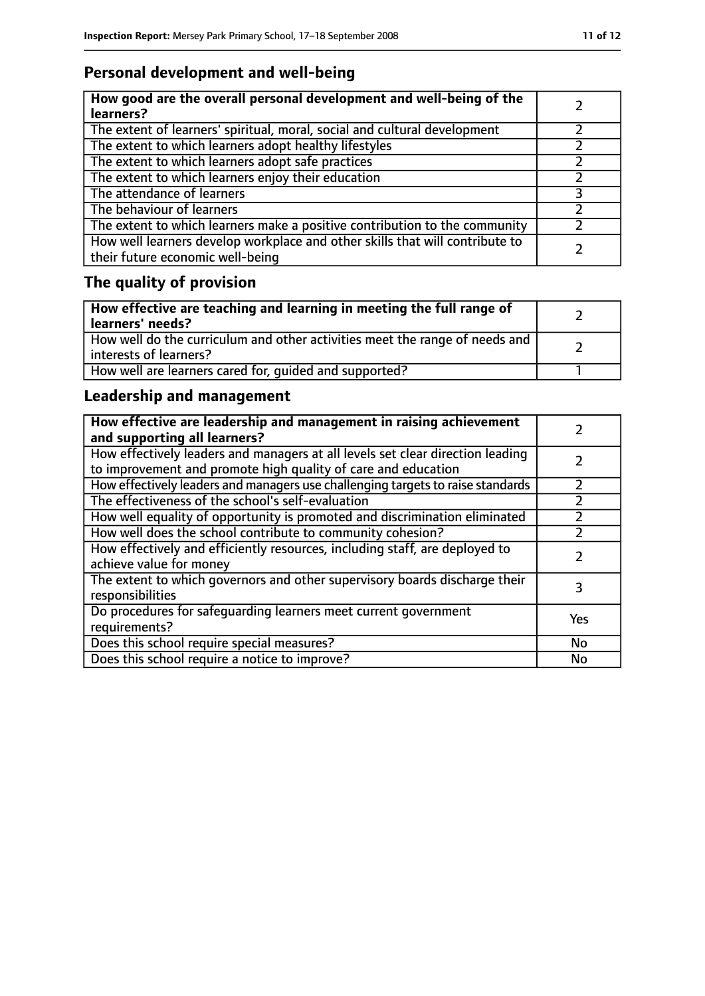# **Personal development and well-being**

| How good are the overall personal development and well-being of the<br>learners?                                 |  |
|------------------------------------------------------------------------------------------------------------------|--|
| The extent of learners' spiritual, moral, social and cultural development                                        |  |
| The extent to which learners adopt healthy lifestyles                                                            |  |
| The extent to which learners adopt safe practices                                                                |  |
| The extent to which learners enjoy their education                                                               |  |
| The attendance of learners                                                                                       |  |
| The behaviour of learners                                                                                        |  |
| The extent to which learners make a positive contribution to the community                                       |  |
| How well learners develop workplace and other skills that will contribute to<br>their future economic well-being |  |

# **The quality of provision**

| How effective are teaching and learning in meeting the full range of<br>learners' needs?              |  |
|-------------------------------------------------------------------------------------------------------|--|
| How well do the curriculum and other activities meet the range of needs and<br>interests of learners? |  |
| How well are learners cared for, quided and supported?                                                |  |

## **Leadership and management**

| How effective are leadership and management in raising achievement<br>and supporting all learners?                                              |     |
|-------------------------------------------------------------------------------------------------------------------------------------------------|-----|
| How effectively leaders and managers at all levels set clear direction leading<br>to improvement and promote high quality of care and education |     |
| How effectively leaders and managers use challenging targets to raise standards                                                                 |     |
| The effectiveness of the school's self-evaluation                                                                                               |     |
| How well equality of opportunity is promoted and discrimination eliminated                                                                      |     |
| How well does the school contribute to community cohesion?                                                                                      |     |
| How effectively and efficiently resources, including staff, are deployed to<br>achieve value for money                                          |     |
| The extent to which governors and other supervisory boards discharge their<br>responsibilities                                                  | 3   |
| Do procedures for safequarding learners meet current government<br>requirements?                                                                | Yes |
| Does this school require special measures?                                                                                                      | No  |
| Does this school require a notice to improve?                                                                                                   | No  |